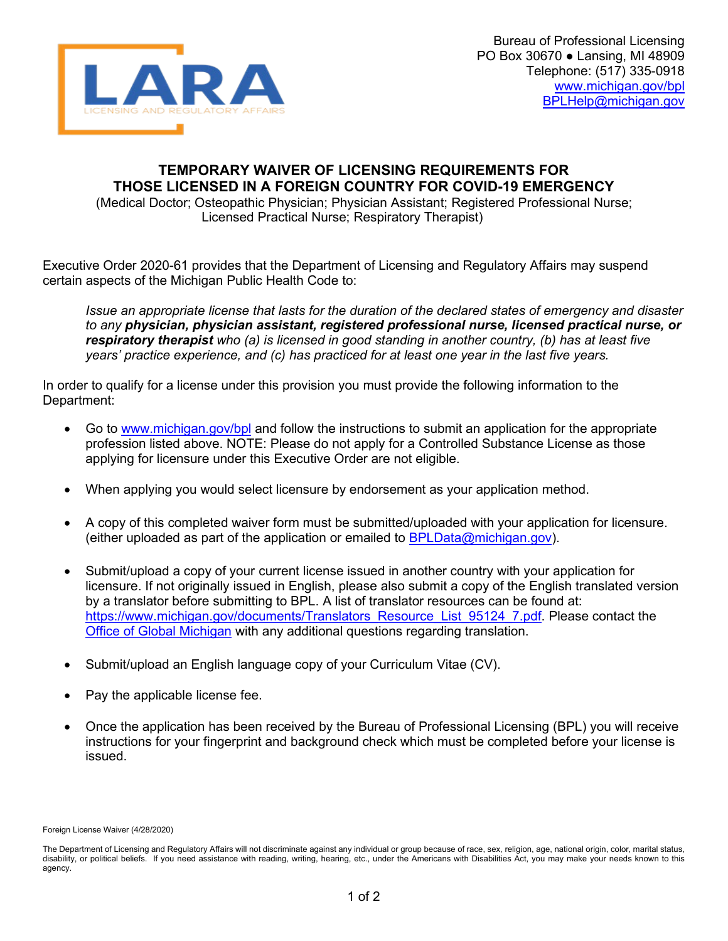

## **TEMPORARY WAIVER OF LICENSING REQUIREMENTS FOR THOSE LICENSED IN A FOREIGN COUNTRY FOR COVID-19 EMERGENCY**

(Medical Doctor; Osteopathic Physician; Physician Assistant; Registered Professional Nurse; Licensed Practical Nurse; Respiratory Therapist)

Executive Order 2020-61 provides that the Department of Licensing and Regulatory Affairs may suspend certain aspects of the Michigan Public Health Code to:

*Issue an appropriate license that lasts for the duration of the declared states of emergency and disaster to any physician, physician assistant, registered professional nurse, licensed practical nurse, or respiratory therapist who (a) is licensed in good standing in another country, (b) has at least five years' practice experience, and (c) has practiced for at least one year in the last five years.*

In order to qualify for a license under this provision you must provide the following information to the Department:

- Go to [www.michigan.gov/bpl](http://www.michigan.gov/bpl) and follow the instructions to submit an application for the appropriate profession listed above. NOTE: Please do not apply for a Controlled Substance License as those applying for licensure under this Executive Order are not eligible.
- When applying you would select licensure by endorsement as your application method.
- A copy of this completed waiver form must be submitted/uploaded with your application for licensure. (either uploaded as part of the application or emailed to  $BPLData@michigan.gov)$ .
- Submit/upload a copy of your current license issued in another country with your application for licensure. If not originally issued in English, please also submit a copy of the English translated version by a translator before submitting to BPL. A list of translator resources can be found at: [https://www.michigan.gov/documents/Translators\\_Resource\\_List\\_95124\\_7.pdf](https://www.michigan.gov/documents/Translators_Resource_List_95124_7.pdf). Please contact the [Office of Global Michigan](https://www.michigan.gov/ogm/) with any additional questions regarding translation.
- Submit/upload an English language copy of your Curriculum Vitae (CV).
- Pay the applicable license fee.
- Once the application has been received by the Bureau of Professional Licensing (BPL) you will receive instructions for your fingerprint and background check which must be completed before your license is issued.

Foreign License Waiver (4/28/2020)

The Department of Licensing and Regulatory Affairs will not discriminate against any individual or group because of race, sex, religion, age, national origin, color, marital status, disability, or political beliefs. If you need assistance with reading, writing, hearing, etc., under the Americans with Disabilities Act, you may make your needs known to this agency.